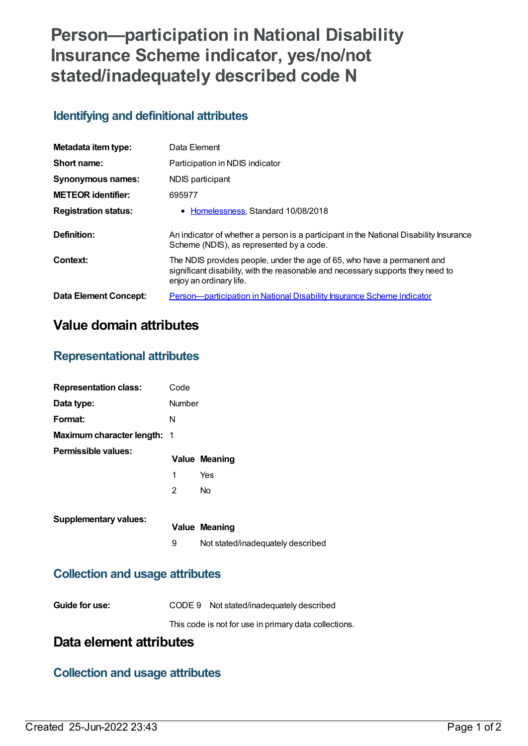# **Person—participation in National Disability Insurance Scheme indicator, yes/no/not stated/inadequately described code N**

#### **Identifying and definitional attributes**

| Metadata item type:          | Data Element                                                                                                                                                                          |
|------------------------------|---------------------------------------------------------------------------------------------------------------------------------------------------------------------------------------|
| Short name:                  | Participation in NDIS indicator                                                                                                                                                       |
| <b>Synonymous names:</b>     | NDIS participant                                                                                                                                                                      |
| <b>METEOR identifier:</b>    | 695977                                                                                                                                                                                |
| <b>Registration status:</b>  | • Homelessness, Standard 10/08/2018                                                                                                                                                   |
| Definition:                  | An indicator of whether a person is a participant in the National Disability Insurance<br>Scheme (NDIS), as represented by a code.                                                    |
| Context:                     | The NDIS provides people, under the age of 65, who have a permanent and<br>significant disability, with the reasonable and necessary supports they need to<br>enjoy an ordinary life. |
| <b>Data Element Concept:</b> | Person-participation in National Disability Insurance Scheme indicator                                                                                                                |

## **Value domain attributes**

#### **Representational attributes**

| <b>Representation class:</b>       | Code           |                      |
|------------------------------------|----------------|----------------------|
| Data type:                         | Number         |                      |
| Format:                            | N              |                      |
| <b>Maximum character length: 1</b> |                |                      |
| Permissible values:                |                | <b>Value Meaning</b> |
|                                    | 1              | Yes                  |
|                                    | $\overline{2}$ | No                   |
|                                    |                |                      |

9 Not stated/inadequately described

#### **Collection and usage attributes**

| Guide for use: | CODE 9 Not stated/inadequately described              |
|----------------|-------------------------------------------------------|
|                | This code is not for use in primary data collections. |

### **Data element attributes**

#### **Collection and usage attributes**